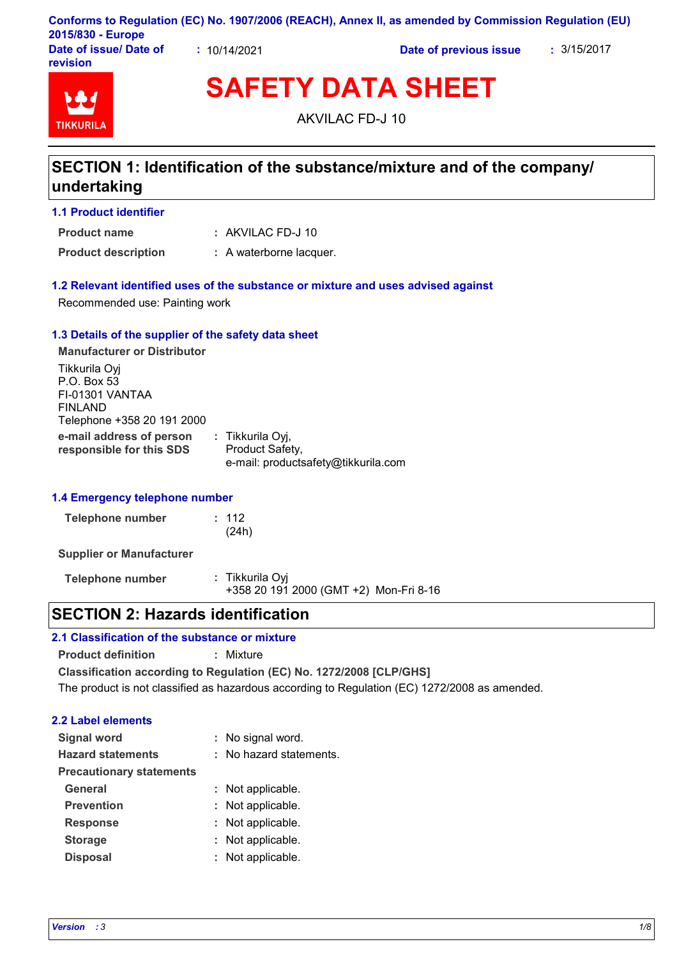|                                           |            | Conforms to Regulation (EC) No. 1907/2006 (REACH), Annex II, as amended by Commission Regulation (EU) |             |
|-------------------------------------------|------------|-------------------------------------------------------------------------------------------------------|-------------|
| 2015/830 - Europe                         |            |                                                                                                       |             |
| Date of issue/ Date of<br><b>revision</b> | 10/14/2021 | Date of previous issue                                                                                | : 3/15/2017 |

# **TIKKURIL**

**SAFETY DATA SHEET**

AKVILAC FD-J 10

## **SECTION 1: Identification of the substance/mixture and of the company/ undertaking**

#### **1.1 Product identifier**

AKVILAC FD-J 10 **: Product name**

**Product description :** A waterborne lacquer.

#### **1.2 Relevant identified uses of the substance or mixture and uses advised against**

Recommended use: Painting work

#### **1.3 Details of the supplier of the safety data sheet**

**e-mail address of person responsible for this SDS :** Tikkurila Oyj, Product Safety, e-mail: productsafety@tikkurila.com **Manufacturer or Distributor** Tikkurila Oyj P.O. Box 53 FI-01301 VANTAA FINLAND Telephone +358 20 191 2000

#### **1.4 Emergency telephone number**

| Telephone number | : 112 |
|------------------|-------|
|                  | (24h) |

**Supplier or Manufacturer**

**Telephone number :** Tikkurila Oyj +358 20 191 2000 (GMT +2) Mon-Fri 8-16

## **SECTION 2: Hazards identification**

### **2.1 Classification of the substance or mixture**

**Product definition :** Mixture

**Classification according to Regulation (EC) No. 1272/2008 [CLP/GHS]** The product is not classified as hazardous according to Regulation (EC) 1272/2008 as amended.

#### **2.2 Label elements**

| <b>Signal word</b>              | : No signal word.       |
|---------------------------------|-------------------------|
| <b>Hazard statements</b>        | : No hazard statements. |
| <b>Precautionary statements</b> |                         |
| <b>General</b>                  | : Not applicable.       |
| <b>Prevention</b>               | : Not applicable.       |
| <b>Response</b>                 | : Not applicable.       |
| <b>Storage</b>                  | : Not applicable.       |
| <b>Disposal</b>                 | : Not applicable.       |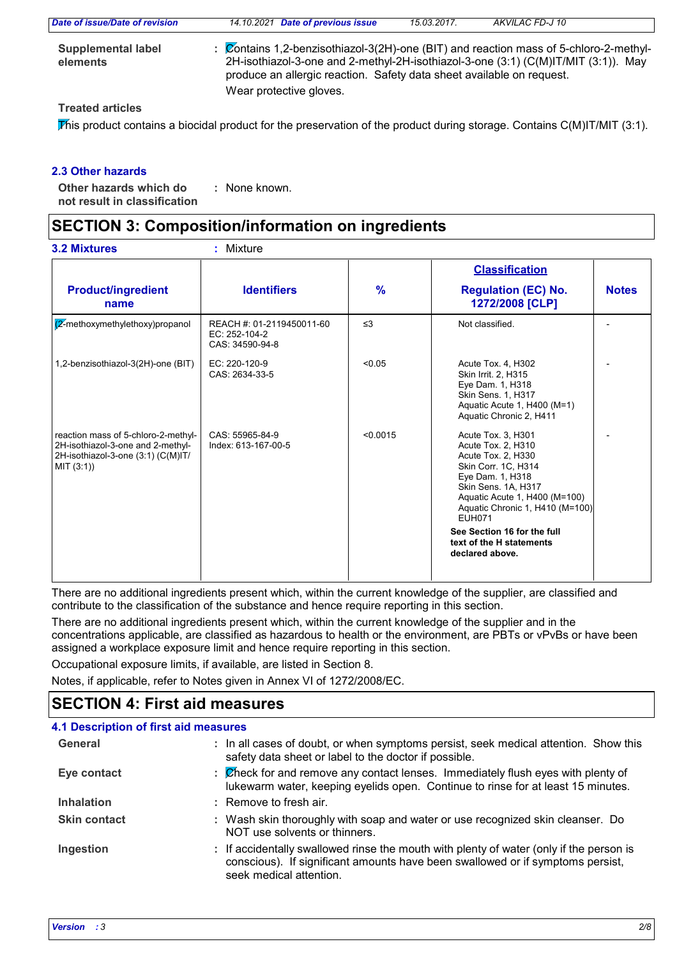| Date of issue/Date of revision        | 14.10.2021 Date of previous issue                                                                                                                                                                                                                    | 15.03.2017. | AKVILAC FD-J 10 |
|---------------------------------------|------------------------------------------------------------------------------------------------------------------------------------------------------------------------------------------------------------------------------------------------------|-------------|-----------------|
| <b>Supplemental label</b><br>elements | : Contains 1,2-benzisothiazol-3(2H)-one (BIT) and reaction mass of 5-chloro-2-methyl-<br>2H-isothiazol-3-one and 2-methyl-2H-isothiazol-3-one (3:1) (C(M)IT/MIT (3:1)). May<br>produce an allergic reaction. Safety data sheet available on request. |             |                 |
|                                       | Wear protective gloves.                                                                                                                                                                                                                              |             |                 |
|                                       |                                                                                                                                                                                                                                                      |             |                 |

#### **Treated articles**

This product contains a biocidal product for the preservation of the product during storage. Contains  $C(M)IT/MIT$  (3:1).

#### **2.3 Other hazards**

**Other hazards which do : not result in classification** : None known.

## **SECTION 3: Composition/information on ingredients**

|                                                                                                                              |                                                               |               | <b>Classification</b>                                                                                                                                                                                                                                                                               |              |  |
|------------------------------------------------------------------------------------------------------------------------------|---------------------------------------------------------------|---------------|-----------------------------------------------------------------------------------------------------------------------------------------------------------------------------------------------------------------------------------------------------------------------------------------------------|--------------|--|
| <b>Product/ingredient</b><br>name                                                                                            | <b>Identifiers</b>                                            | $\frac{9}{6}$ | <b>Regulation (EC) No.</b><br>1272/2008 [CLP]                                                                                                                                                                                                                                                       | <b>Notes</b> |  |
| $\sqrt{2}$ -methoxymethylethoxy)propanol                                                                                     | REACH #: 01-2119450011-60<br>EC: 252-104-2<br>CAS: 34590-94-8 | $\leq$ 3      | Not classified.                                                                                                                                                                                                                                                                                     |              |  |
| 1,2-benzisothiazol-3(2H)-one (BIT)                                                                                           | EC: 220-120-9<br>CAS: 2634-33-5                               | < 0.05        | Acute Tox. 4, H302<br>Skin Irrit. 2, H315<br>Eye Dam. 1, H318<br>Skin Sens. 1, H317<br>Aquatic Acute 1, H400 (M=1)<br>Aquatic Chronic 2, H411                                                                                                                                                       |              |  |
| reaction mass of 5-chloro-2-methyl-<br>2H-isothiazol-3-one and 2-methyl-<br>2H-isothiazol-3-one (3:1) (C(M)IT/<br>MIT (3:1)) | CAS: 55965-84-9<br>Index: 613-167-00-5                        | < 0.0015      | Acute Tox. 3, H301<br>Acute Tox. 2, H310<br>Acute Tox. 2, H330<br>Skin Corr. 1C, H314<br>Eye Dam. 1, H318<br>Skin Sens. 1A, H317<br>Aquatic Acute 1, H400 (M=100)<br>Aquatic Chronic 1, H410 (M=100)<br><b>EUH071</b><br>See Section 16 for the full<br>text of the H statements<br>declared above. |              |  |

There are no additional ingredients present which, within the current knowledge of the supplier, are classified and contribute to the classification of the substance and hence require reporting in this section.

There are no additional ingredients present which, within the current knowledge of the supplier and in the concentrations applicable, are classified as hazardous to health or the environment, are PBTs or vPvBs or have been assigned a workplace exposure limit and hence require reporting in this section.

Occupational exposure limits, if available, are listed in Section 8.

Notes, if applicable, refer to Notes given in Annex VI of 1272/2008/EC.

## **SECTION 4: First aid measures**

| <b>4.1 Description of first aid measures</b> |                                                                                                                                                                                                      |
|----------------------------------------------|------------------------------------------------------------------------------------------------------------------------------------------------------------------------------------------------------|
| General                                      | : In all cases of doubt, or when symptoms persist, seek medical attention. Show this<br>safety data sheet or label to the doctor if possible.                                                        |
| Eye contact                                  | : Check for and remove any contact lenses. Immediately flush eyes with plenty of<br>lukewarm water, keeping eyelids open. Continue to rinse for at least 15 minutes.                                 |
| <b>Inhalation</b>                            | : Remove to fresh air.                                                                                                                                                                               |
| <b>Skin contact</b>                          | : Wash skin thoroughly with soap and water or use recognized skin cleanser. Do<br>NOT use solvents or thinners.                                                                                      |
| Ingestion                                    | : If accidentally swallowed rinse the mouth with plenty of water (only if the person is<br>conscious). If significant amounts have been swallowed or if symptoms persist,<br>seek medical attention. |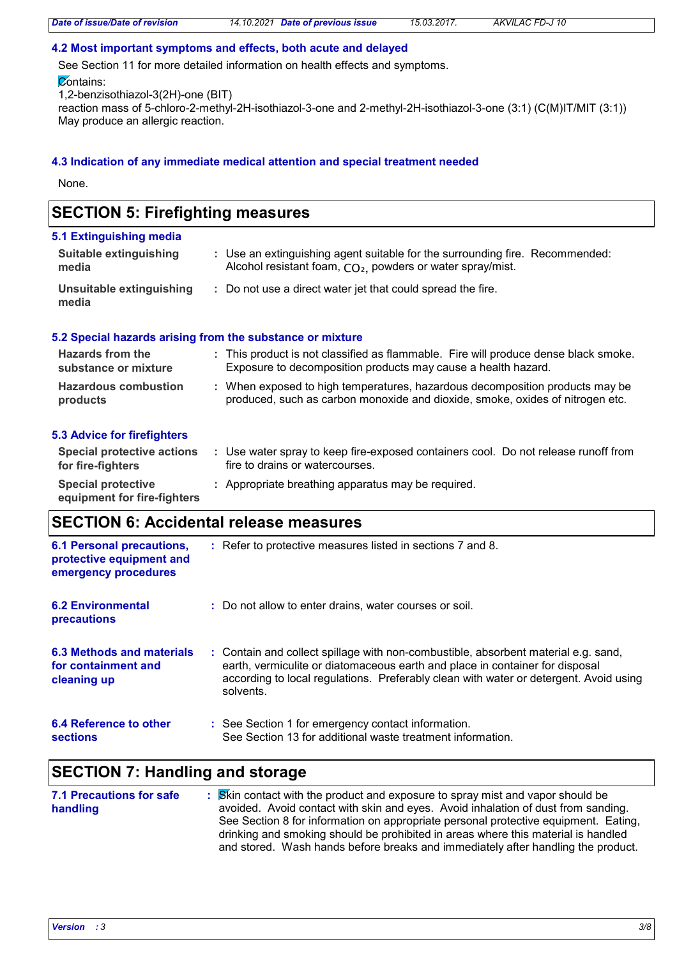#### **4.2 Most important symptoms and effects, both acute and delayed**

See Section 11 for more detailed information on health effects and symptoms.

#### **Contains:**

1,2-benzisothiazol-3(2H)-one (BIT)

reaction mass of 5-chloro-2-methyl-2H-isothiazol-3-one and 2-methyl-2H-isothiazol-3-one (3:1) (C(M)IT/MIT (3:1)) May produce an allergic reaction.

#### **4.3 Indication of any immediate medical attention and special treatment needed**

None.

## **SECTION 5: Firefighting measures**

#### **5.1 Extinguishing media**

| Suitable extinguishing<br>media   | : Use an extinguishing agent suitable for the surrounding fire. Recommended:<br>Alcohol resistant foam, CO <sub>2</sub> , powders or water spray/mist. |
|-----------------------------------|--------------------------------------------------------------------------------------------------------------------------------------------------------|
| Unsuitable extinguishing<br>media | : Do not use a direct water jet that could spread the fire.                                                                                            |

#### **5.2 Special hazards arising from the substance or mixture**

| Hazards from the<br>substance or mixture               | : This product is not classified as flammable. Fire will produce dense black smoke.<br>Exposure to decomposition products may cause a health hazard.          |
|--------------------------------------------------------|---------------------------------------------------------------------------------------------------------------------------------------------------------------|
| <b>Hazardous combustion</b><br>products                | : When exposed to high temperatures, hazardous decomposition products may be<br>produced, such as carbon monoxide and dioxide, smoke, oxides of nitrogen etc. |
| <b>5.3 Advice for firefighters</b>                     |                                                                                                                                                               |
| <b>Special protective actions</b><br>for fire-fighters | : Use water spray to keep fire-exposed containers cool. Do not release runoff from<br>fire to drains or watercourses.                                         |
| <b>Special protective</b>                              | : Appropriate breathing apparatus may be required.                                                                                                            |

**equipment for fire-fighters**

## **SECTION 6: Accidental release measures**

| <b>6.1 Personal precautions,</b><br>protective equipment and<br>emergency procedures | : Refer to protective measures listed in sections 7 and 8.                                                                                                                                                                                                               |
|--------------------------------------------------------------------------------------|--------------------------------------------------------------------------------------------------------------------------------------------------------------------------------------------------------------------------------------------------------------------------|
| <b>6.2 Environmental</b><br>precautions                                              | : Do not allow to enter drains, water courses or soil.                                                                                                                                                                                                                   |
| 6.3 Methods and materials<br>for containment and<br>cleaning up                      | : Contain and collect spillage with non-combustible, absorbent material e.g. sand,<br>earth, vermiculite or diatomaceous earth and place in container for disposal<br>according to local regulations. Preferably clean with water or detergent. Avoid using<br>solvents. |
| 6.4 Reference to other<br><b>sections</b>                                            | : See Section 1 for emergency contact information.<br>See Section 13 for additional waste treatment information.                                                                                                                                                         |

## **SECTION 7: Handling and storage**

| <b>7.1 Precautions for safe</b> | : Stin contact with the product and exposure to spray mist and vapor should be      |
|---------------------------------|-------------------------------------------------------------------------------------|
| handling                        | avoided. Avoid contact with skin and eyes. Avoid inhalation of dust from sanding.   |
|                                 | See Section 8 for information on appropriate personal protective equipment. Eating, |
|                                 | drinking and smoking should be prohibited in areas where this material is handled   |
|                                 | and stored. Wash hands before breaks and immediately after handling the product.    |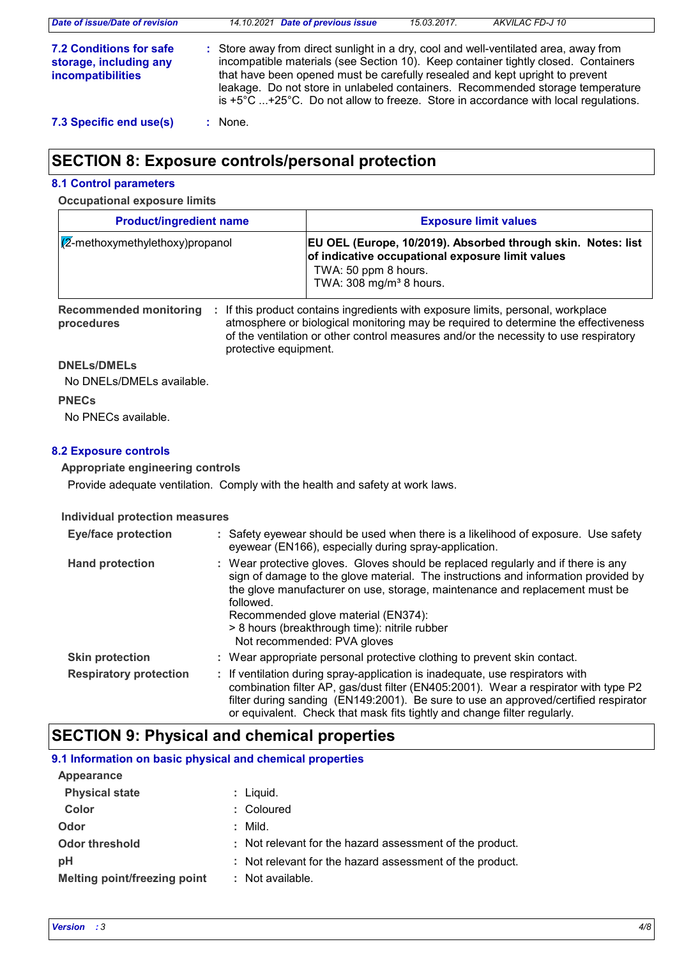| Date of issue/Date of revision                                                | 14.10.2021 Date of previous issue                                                                                                                                                                                                                                                                                                                                                                                                                      | 15.03.2017. | AKVILAC FD-J 10 |
|-------------------------------------------------------------------------------|--------------------------------------------------------------------------------------------------------------------------------------------------------------------------------------------------------------------------------------------------------------------------------------------------------------------------------------------------------------------------------------------------------------------------------------------------------|-------------|-----------------|
| 7.2 Conditions for safe<br>storage, including any<br><b>incompatibilities</b> | : Store away from direct sunlight in a dry, cool and well-ventilated area, away from<br>incompatible materials (see Section 10). Keep container tightly closed. Containers<br>that have been opened must be carefully resealed and kept upright to prevent<br>leakage. Do not store in unlabeled containers. Recommended storage temperature<br>is $+5^{\circ}$ C $+25^{\circ}$ C. Do not allow to freeze. Store in accordance with local regulations. |             |                 |
| 7.3 Specific end use(s)                                                       | : None.                                                                                                                                                                                                                                                                                                                                                                                                                                                |             |                 |

## **SECTION 8: Exposure controls/personal protection**

#### **8.1 Control parameters**

#### **Occupational exposure limits**

| <b>Product/ingredient name</b>           | <b>Exposure limit values</b>                                                                                                                                                   |
|------------------------------------------|--------------------------------------------------------------------------------------------------------------------------------------------------------------------------------|
| $\sqrt{2}$ -methoxymethylethoxy)propanol | EU OEL (Europe, 10/2019). Absorbed through skin. Notes: list<br>of indicative occupational exposure limit values<br>TWA: 50 ppm 8 hours.<br>TWA: $308 \text{ mg/m}^3$ 8 hours. |
| <b>Recommended monitoring</b>            | If this product contains ingredients with exposure limits, personal, workplace                                                                                                 |

**procedures**

atmosphere or biological monitoring may be required to determine the effectiveness of the ventilation or other control measures and/or the necessity to use respiratory protective equipment.

#### **DNELs/DMELs**

No DNELs/DMELs available.

#### **PNECs**

No PNECs available.

#### **8.2 Exposure controls**

#### **Appropriate engineering controls**

Provide adequate ventilation. Comply with the health and safety at work laws.

#### **Individual protection measures**

| <b>Eye/face protection</b>    | : Safety eyewear should be used when there is a likelihood of exposure. Use safety<br>eyewear (EN166), especially during spray-application.                                                                                                                                                                                                                                                |
|-------------------------------|--------------------------------------------------------------------------------------------------------------------------------------------------------------------------------------------------------------------------------------------------------------------------------------------------------------------------------------------------------------------------------------------|
| <b>Hand protection</b>        | : Wear protective gloves. Gloves should be replaced regularly and if there is any<br>sign of damage to the glove material. The instructions and information provided by<br>the glove manufacturer on use, storage, maintenance and replacement must be<br>followed.<br>Recommended glove material (EN374):<br>> 8 hours (breakthrough time): nitrile rubber<br>Not recommended: PVA gloves |
| <b>Skin protection</b>        | : Wear appropriate personal protective clothing to prevent skin contact.                                                                                                                                                                                                                                                                                                                   |
| <b>Respiratory protection</b> | : If ventilation during spray-application is inadequate, use respirators with<br>combination filter AP, gas/dust filter (EN405:2001). Wear a respirator with type P2<br>filter during sanding (EN149:2001). Be sure to use an approved/certified respirator<br>or equivalent. Check that mask fits tightly and change filter regularly.                                                    |

## **SECTION 9: Physical and chemical properties**

### **9.1 Information on basic physical and chemical properties**

| Appearance                   |                                                          |
|------------------------------|----------------------------------------------------------|
| <b>Physical state</b>        | $:$ Liquid.                                              |
| Color                        | : Coloured                                               |
| Odor                         | : Mild.                                                  |
| <b>Odor threshold</b>        | : Not relevant for the hazard assessment of the product. |
| рH                           | : Not relevant for the hazard assessment of the product. |
| Melting point/freezing point | : Not available.                                         |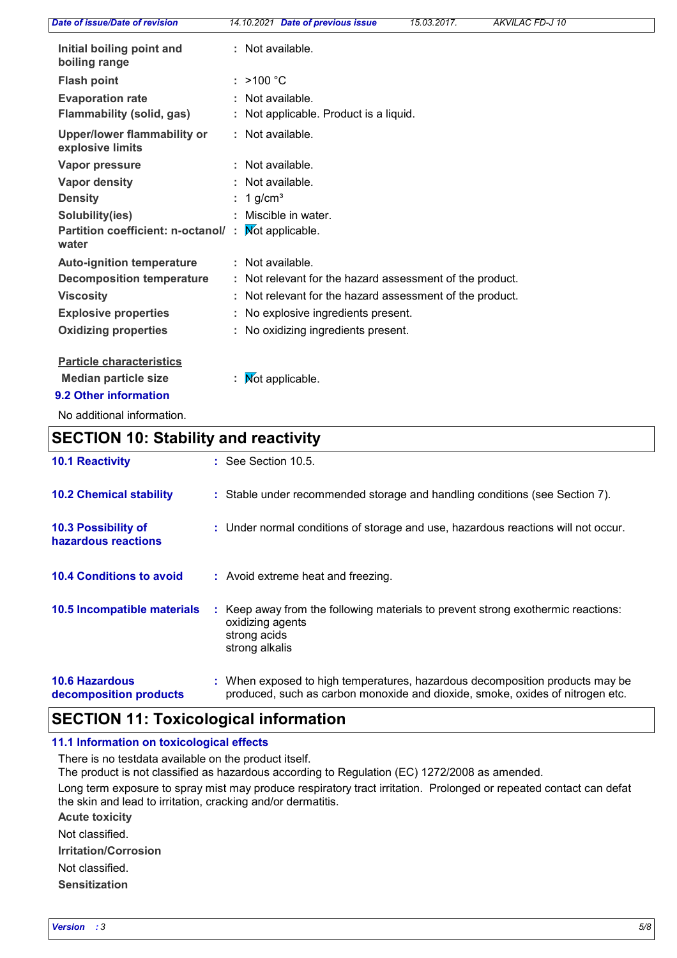| Date of issue/Date of revision                                                          | 14.10.2021 Date of previous issue                          | 15.03.2017. | <b>AKVILAC FD-J 10</b> |
|-----------------------------------------------------------------------------------------|------------------------------------------------------------|-------------|------------------------|
| Initial boiling point and<br>boiling range                                              | : Not available.                                           |             |                        |
| <b>Flash point</b>                                                                      | : $>100 °C$                                                |             |                        |
| <b>Evaporation rate</b><br><b>Flammability (solid, gas)</b>                             | : Not available.<br>: Not applicable. Product is a liquid. |             |                        |
| Upper/lower flammability or<br>explosive limits                                         | : Not available.                                           |             |                        |
| Vapor pressure                                                                          | : Not available.                                           |             |                        |
| <b>Vapor density</b>                                                                    | : Not available.                                           |             |                        |
| <b>Density</b>                                                                          | : 1 g/cm <sup>3</sup>                                      |             |                        |
| Solubility(ies)                                                                         | Miscible in water.                                         |             |                        |
| Partition coefficient: n-octanol/:<br>water                                             | <b>Not applicable.</b>                                     |             |                        |
| <b>Auto-ignition temperature</b>                                                        | : Not available.                                           |             |                        |
| <b>Decomposition temperature</b>                                                        | : Not relevant for the hazard assessment of the product.   |             |                        |
| <b>Viscosity</b>                                                                        | : Not relevant for the hazard assessment of the product.   |             |                        |
| <b>Explosive properties</b>                                                             | : No explosive ingredients present.                        |             |                        |
| <b>Oxidizing properties</b>                                                             | : No oxidizing ingredients present.                        |             |                        |
| <b>Particle characteristics</b><br><b>Median particle size</b><br>9.2 Other information | : $\mathsf{Mot}$ applicable.                               |             |                        |

No additional information.

## **SECTION 10: Stability and reactivity**

| <b>10.1 Reactivity</b>                          | $\therefore$ See Section 10.5.                                                                                                                                |
|-------------------------------------------------|---------------------------------------------------------------------------------------------------------------------------------------------------------------|
| <b>10.2 Chemical stability</b>                  | : Stable under recommended storage and handling conditions (see Section 7).                                                                                   |
| 10.3 Possibility of<br>hazardous reactions      | : Under normal conditions of storage and use, hazardous reactions will not occur.                                                                             |
| <b>10.4 Conditions to avoid</b>                 | : Avoid extreme heat and freezing.                                                                                                                            |
| <b>10.5 Incompatible materials</b>              | : Keep away from the following materials to prevent strong exothermic reactions:<br>oxidizing agents<br>strong acids<br>strong alkalis                        |
| <b>10.6 Hazardous</b><br>decomposition products | : When exposed to high temperatures, hazardous decomposition products may be<br>produced, such as carbon monoxide and dioxide, smoke, oxides of nitrogen etc. |

## **SECTION 11: Toxicological information**

#### **11.1 Information on toxicological effects**

There is no testdata available on the product itself.

The product is not classified as hazardous according to Regulation (EC) 1272/2008 as amended.

Long term exposure to spray mist may produce respiratory tract irritation. Prolonged or repeated contact can defat the skin and lead to irritation, cracking and/or dermatitis.

**Acute toxicity**

**Irritation/Corrosion** Not classified.

Not classified.

**Sensitization**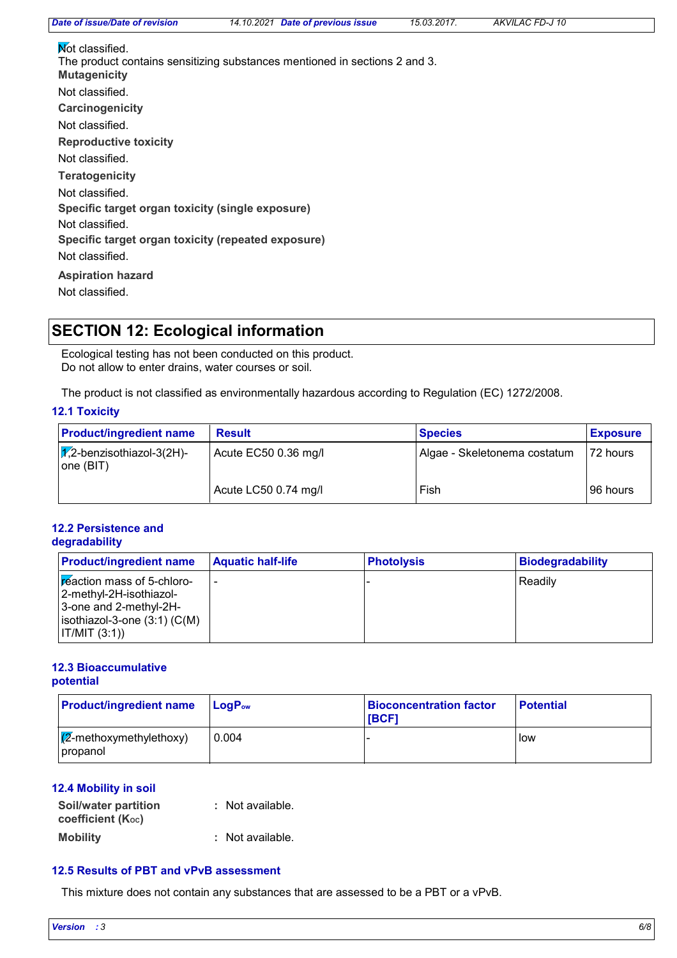*Date of issue/Date of revision 14.10.2021 Date of previous issue 15.03.2017. AKVILAC FD-J 10*

**Carcinogenicity Mutagenicity Teratogenicity Reproductive toxicity Specific target organ toxicity (single exposure) Specific target organ toxicity (repeated exposure) Aspiration hazard** Not classified. Not classified. Not classified. Not classified. **Not classified.** The product contains sensitizing substances mentioned in sections 2 and 3. Not classified. Not classified. Not classified.

## **SECTION 12: Ecological information**

Ecological testing has not been conducted on this product. Do not allow to enter drains, water courses or soil.

The product is not classified as environmentally hazardous according to Regulation (EC) 1272/2008.

#### **12.1 Toxicity**

| <b>Product/ingredient name</b>                   | <b>Result</b>        | <b>Species</b>               | <b>Exposure</b> |
|--------------------------------------------------|----------------------|------------------------------|-----------------|
| $\sqrt{1/2}$ -benzisothiazol-3(2H)-<br>one (BIT) | Acute EC50 0.36 mg/l | Algae - Skeletonema costatum | 72 hours        |
|                                                  | Acute LC50 0.74 mg/l | Fish                         | 96 hours        |

#### **12.2 Persistence and degradability**

| <b>Product/ingredient name</b>                                                                                                          | <b>Aquatic half-life</b> | <b>Photolysis</b> | <b>Biodegradability</b> |
|-----------------------------------------------------------------------------------------------------------------------------------------|--------------------------|-------------------|-------------------------|
| Freaction mass of 5-chloro-<br>2-methyl-2H-isothiazol-<br>3-one and 2-methyl-2H-<br>$ $ isothiazol-3-one $(3:1)$ (C(M)<br>IT/MIT (3:1)) |                          |                   | Readily                 |

#### **12.3 Bioaccumulative potential**

| <b>Product/ingredient name</b>                        | <b>LogP</b> <sub>ow</sub> | <b>Bioconcentration factor</b><br><b>IBCF1</b> | <b>Potential</b> |
|-------------------------------------------------------|---------------------------|------------------------------------------------|------------------|
| $\sqrt{\mathbb{Z}}$ -methoxymethylethoxy)<br>propanol | 0.004                     |                                                | low              |

#### **12.4 Mobility in soil**

| <b>Soil/water partition</b>    | : Not available. |
|--------------------------------|------------------|
| coefficient (K <sub>oc</sub> ) |                  |
| <b>Mobility</b>                | : Not available. |

#### **12.5 Results of PBT and vPvB assessment**

This mixture does not contain any substances that are assessed to be a PBT or a vPvB.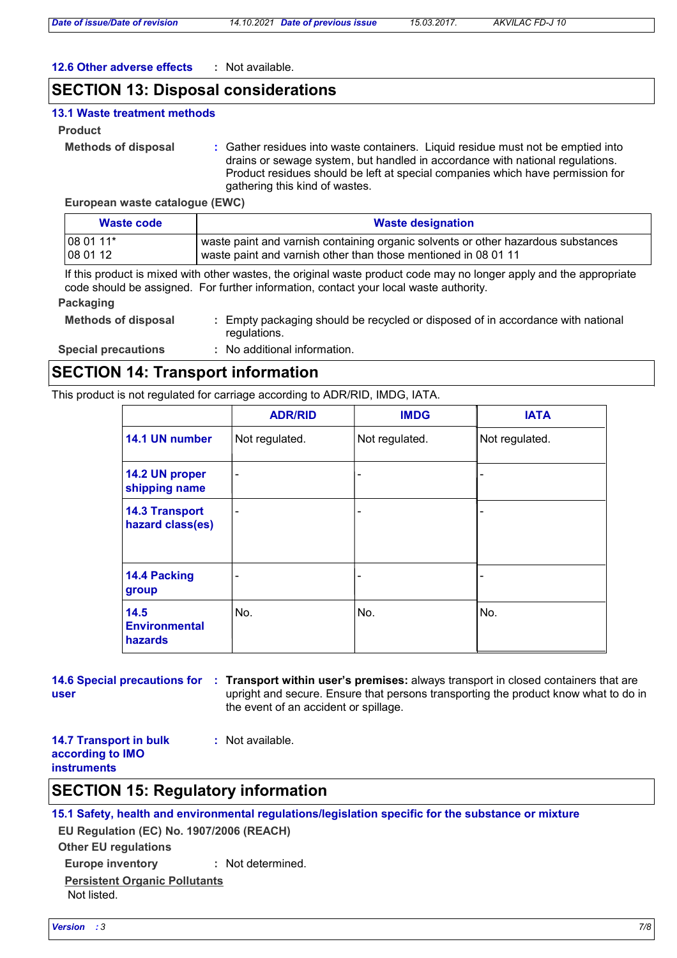*Date of issue/Date of revision 14.10.2021 Date of previous issue 15.03.2017. AKVILAC FD-J 10*

#### **12.6 Other adverse effects :** Not available.

## **SECTION 13: Disposal considerations**

#### **13.1 Waste treatment methods**

#### **Product**

```
Methods of disposal :
```
Gather residues into waste containers. Liquid residue must not be emptied into drains or sewage system, but handled in accordance with national regulations. Product residues should be left at special companies which have permission for gathering this kind of wastes.

**European waste catalogue (EWC)**

| <b>Waste designation</b><br>Waste code |                                                                                   |
|----------------------------------------|-----------------------------------------------------------------------------------|
| $ 080111*$                             | waste paint and varnish containing organic solvents or other hazardous substances |
| 1080112                                | waste paint and varnish other than those mentioned in 08 01 11                    |

If this product is mixed with other wastes, the original waste product code may no longer apply and the appropriate code should be assigned. For further information, contact your local waste authority.

#### **Packaging**

- **Methods of disposal :** Empty packaging should be recycled or disposed of in accordance with national regulations.
- **Special precautions :** No additional information.

## **SECTION 14: Transport information**

This product is not regulated for carriage according to ADR/RID, IMDG, IATA.

|                                                | <b>ADR/RID</b> | <b>IMDG</b>    | <b>IATA</b>    |
|------------------------------------------------|----------------|----------------|----------------|
| 14.1 UN number                                 | Not regulated. | Not regulated. | Not regulated. |
| 14.2 UN proper<br>shipping name                | $\blacksquare$ | ۰              |                |
| <b>14.3 Transport</b><br>hazard class(es)      | ۰              | ۰              |                |
| 14.4 Packing<br>group                          |                | ۰              |                |
| 14.5<br><b>Environmental</b><br><b>hazards</b> | No.            | No.            | No.            |

**user**

**14.6 Special precautions for Transport within user's premises:** always transport in closed containers that are **:** upright and secure. Ensure that persons transporting the product know what to do in the event of an accident or spillage.

**14.7 Transport in bulk according to IMO instruments**

#### **:** Not available.

## **SECTION 15: Regulatory information**

**15.1 Safety, health and environmental regulations/legislation specific for the substance or mixture**

**Other EU regulations EU Regulation (EC) No. 1907/2006 (REACH)**

**Europe inventory :** Not determined.

**Persistent Organic Pollutants** Not listed.